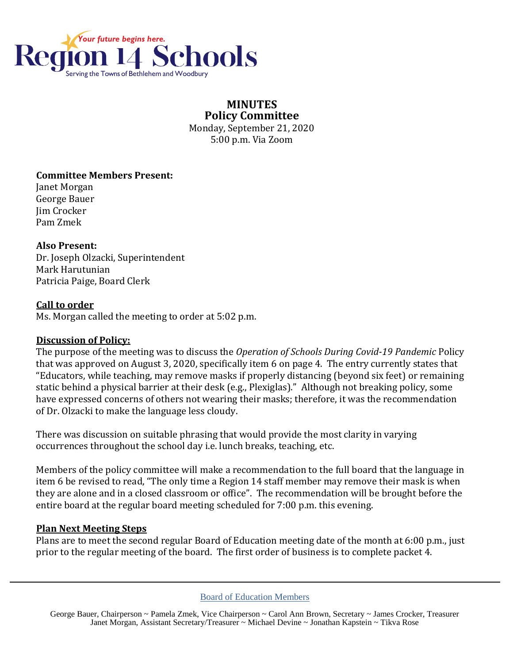

# **MINUTES Policy Committee**

Monday, September 21, 2020 5:00 p.m. Via Zoom

# **Committee Members Present:**

Janet Morgan George Bauer Jim Crocker Pam Zmek

### **Also Present:**

Dr. Joseph Olzacki, Superintendent Mark Harutunian Patricia Paige, Board Clerk

### **Call to order**

Ms. Morgan called the meeting to order at 5:02 p.m.

#### **Discussion of Policy:**

The purpose of the meeting was to discuss the *Operation of Schools During Covid-19 Pandemic* Policy that was approved on August 3, 2020, specifically item 6 on page 4. The entry currently states that "Educators, while teaching, may remove masks if properly distancing (beyond six feet) or remaining static behind a physical barrier at their desk (e.g., Plexiglas)." Although not breaking policy, some have expressed concerns of others not wearing their masks; therefore, it was the recommendation of Dr. Olzacki to make the language less cloudy.

There was discussion on suitable phrasing that would provide the most clarity in varying occurrences throughout the school day i.e. lunch breaks, teaching, etc.

Members of the policy committee will make a recommendation to the full board that the language in item 6 be revised to read, "The only time a Region 14 staff member may remove their mask is when they are alone and in a closed classroom or office". The recommendation will be brought before the entire board at the regular board meeting scheduled for 7:00 p.m. this evening.

# **Plan Next Meeting Steps**

Plans are to meet the second regular Board of Education meeting date of the month at 6:00 p.m., just prior to the regular meeting of the board. The first order of business is to complete packet 4.

Board of Education Members

George Bauer, Chairperson ~ Pamela Zmek, Vice Chairperson ~ Carol Ann Brown, Secretary ~ James Crocker, Treasurer Janet Morgan, Assistant Secretary/Treasurer ~ Michael Devine ~ Jonathan Kapstein ~ Tikva Rose